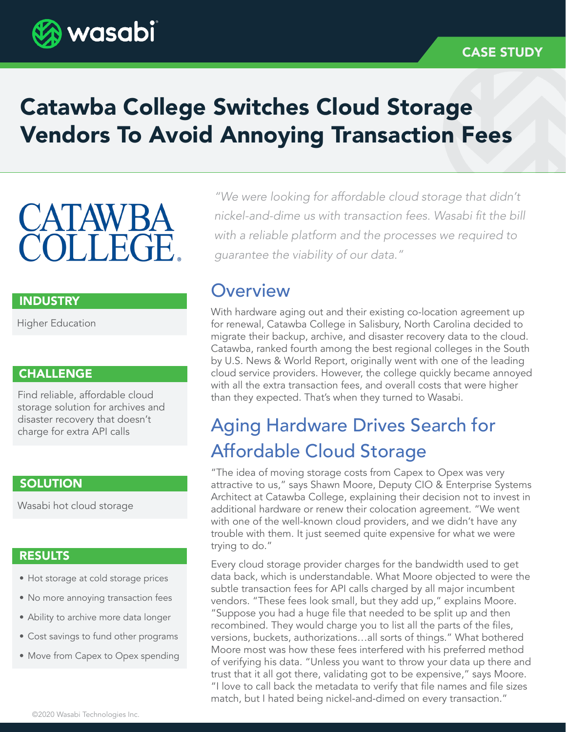

# Catawba College Switches Cloud Storage Vendors To Avoid Annoying Transaction Fees

# **CATAWBA COLLEGE**

## INDUSTRY

Higher Education

## **CHALLENGE**

Find reliable, affordable cloud storage solution for archives and disaster recovery that doesn't charge for extra API calls

## **SOLUTION**

Wasabi hot cloud storage

## RESULTS

- Hot storage at cold storage prices
- No more annoying transaction fees
- Ability to archive more data longer
- Cost savings to fund other programs
- Move from Capex to Opex spending

*"We were looking for affordable cloud storage that didn't*  nickel-and-dime us with transaction fees. Wasabi fit the bill *with a reliable platform and the processes we required to guarantee the viability of our data."*

## **Overview**

With hardware aging out and their existing co-location agreement up for renewal, Catawba College in Salisbury, North Carolina decided to migrate their backup, archive, and disaster recovery data to the cloud. Catawba, ranked fourth among the best regional colleges in the South by U.S. News & World Report, originally went with one of the leading cloud service providers. However, the college quickly became annoyed with all the extra transaction fees, and overall costs that were higher than they expected. That's when they turned to Wasabi.

# Aging Hardware Drives Search for Affordable Cloud Storage

"The idea of moving storage costs from Capex to Opex was very attractive to us," says Shawn Moore, Deputy CIO & Enterprise Systems Architect at Catawba College, explaining their decision not to invest in additional hardware or renew their colocation agreement. "We went with one of the well-known cloud providers, and we didn't have any trouble with them. It just seemed quite expensive for what we were trying to do."

Every cloud storage provider charges for the bandwidth used to get data back, which is understandable. What Moore objected to were the subtle transaction fees for API calls charged by all major incumbent vendors. "These fees look small, but they add up," explains Moore. "Suppose you had a huge file that needed to be split up and then recombined. They would charge you to list all the parts of the files, versions, buckets, authorizations…all sorts of things." What bothered Moore most was how these fees interfered with his preferred method of verifying his data. "Unless you want to throw your data up there and trust that it all got there, validating got to be expensive," says Moore. "I love to call back the metadata to verify that file names and file sizes match, but I hated being nickel-and-dimed on every transaction."